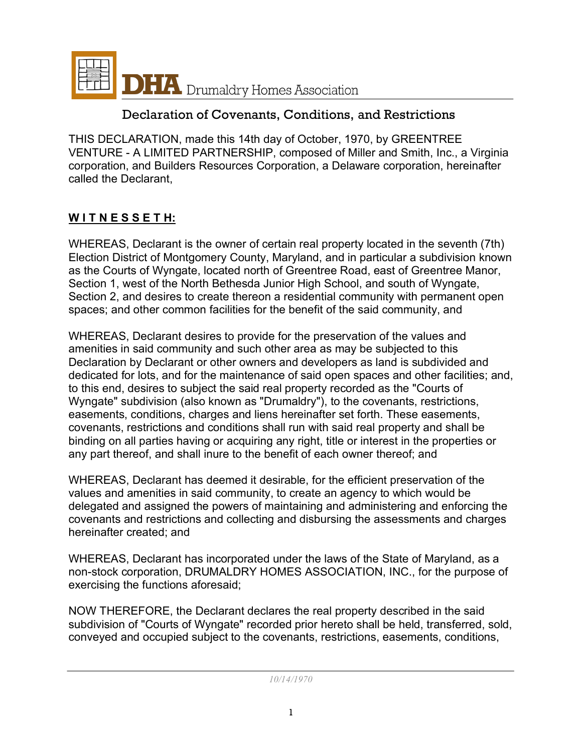

THIS DECLARATION, made this 14th day of October, 1970, by GREENTREE VENTURE - A LIMITED PARTNERSHIP, composed of Miller and Smith, Inc., a Virginia corporation, and Builders Resources Corporation, a Delaware corporation, hereinafter called the Declarant,

### **W I T N E S S E T H:**

WHEREAS, Declarant is the owner of certain real property located in the seventh (7th) Election District of Montgomery County, Maryland, and in particular a subdivision known as the Courts of Wyngate, located north of Greentree Road, east of Greentree Manor, Section 1, west of the North Bethesda Junior High School, and south of Wyngate, Section 2, and desires to create thereon a residential community with permanent open spaces; and other common facilities for the benefit of the said community, and

WHEREAS, Declarant desires to provide for the preservation of the values and amenities in said community and such other area as may be subjected to this Declaration by Declarant or other owners and developers as land is subdivided and dedicated for lots, and for the maintenance of said open spaces and other facilities; and, to this end, desires to subject the said real property recorded as the "Courts of Wyngate" subdivision (also known as "Drumaldry"), to the covenants, restrictions, easements, conditions, charges and liens hereinafter set forth. These easements, covenants, restrictions and conditions shall run with said real property and shall be binding on all parties having or acquiring any right, title or interest in the properties or any part thereof, and shall inure to the benefit of each owner thereof; and

WHEREAS, Declarant has deemed it desirable, for the efficient preservation of the values and amenities in said community, to create an agency to which would be delegated and assigned the powers of maintaining and administering and enforcing the covenants and restrictions and collecting and disbursing the assessments and charges hereinafter created; and

WHEREAS, Declarant has incorporated under the laws of the State of Maryland, as a non-stock corporation, DRUMALDRY HOMES ASSOCIATION, INC., for the purpose of exercising the functions aforesaid;

NOW THEREFORE, the Declarant declares the real property described in the said subdivision of "Courts of Wyngate" recorded prior hereto shall be held, transferred, sold, conveyed and occupied subject to the covenants, restrictions, easements, conditions,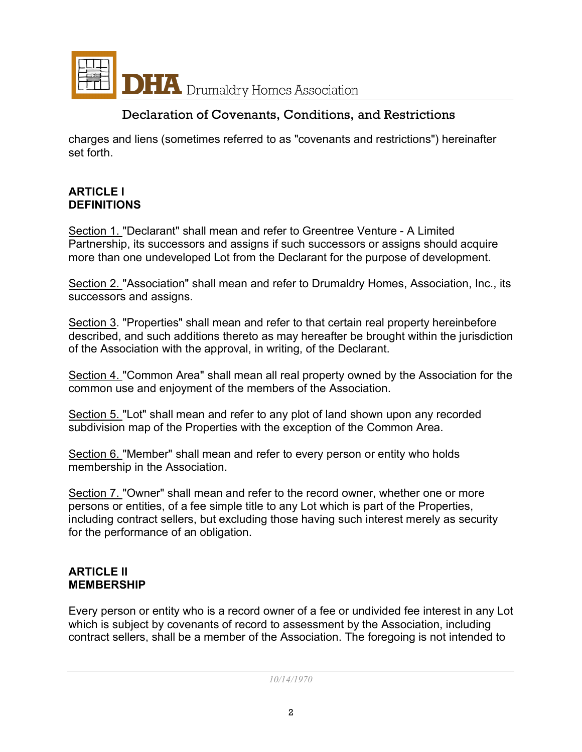

charges and liens (sometimes referred to as "covenants and restrictions") hereinafter set forth.

#### **ARTICLE I DEFINITIONS**

Section 1. "Declarant" shall mean and refer to Greentree Venture - A Limited Partnership, its successors and assigns if such successors or assigns should acquire more than one undeveloped Lot from the Declarant for the purpose of development.

Section 2. "Association" shall mean and refer to Drumaldry Homes, Association, Inc., its successors and assigns.

Section 3. "Properties" shall mean and refer to that certain real property hereinbefore described, and such additions thereto as may hereafter be brought within the jurisdiction of the Association with the approval, in writing, of the Declarant.

Section 4. "Common Area" shall mean all real property owned by the Association for the common use and enjoyment of the members of the Association.

Section 5. "Lot" shall mean and refer to any plot of land shown upon any recorded subdivision map of the Properties with the exception of the Common Area.

Section 6. "Member" shall mean and refer to every person or entity who holds membership in the Association.

Section 7. "Owner" shall mean and refer to the record owner, whether one or more persons or entities, of a fee simple title to any Lot which is part of the Properties, including contract sellers, but excluding those having such interest merely as security for the performance of an obligation.

#### **ARTICLE II MEMBERSHIP**

Every person or entity who is a record owner of a fee or undivided fee interest in any Lot which is subject by covenants of record to assessment by the Association, including contract sellers, shall be a member of the Association. The foregoing is not intended to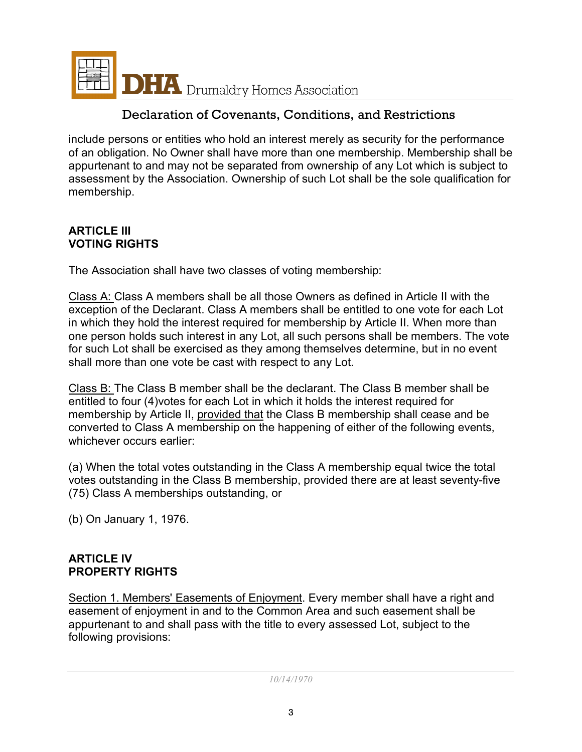

include persons or entities who hold an interest merely as security for the performance of an obligation. No Owner shall have more than one membership. Membership shall be appurtenant to and may not be separated from ownership of any Lot which is subject to assessment by the Association. Ownership of such Lot shall be the sole qualification for membership.

#### **ARTICLE III VOTING RIGHTS**

The Association shall have two classes of voting membership:

Class A: Class A members shall be all those Owners as defined in Article II with the exception of the Declarant. Class A members shall be entitled to one vote for each Lot in which they hold the interest required for membership by Article II. When more than one person holds such interest in any Lot, all such persons shall be members. The vote for such Lot shall be exercised as they among themselves determine, but in no event shall more than one vote be cast with respect to any Lot.

Class B: The Class B member shall be the declarant. The Class B member shall be entitled to four (4)votes for each Lot in which it holds the interest required for membership by Article II, provided that the Class B membership shall cease and be converted to Class A membership on the happening of either of the following events, whichever occurs earlier:

(a) When the total votes outstanding in the Class A membership equal twice the total votes outstanding in the Class B membership, provided there are at least seventy-five (75) Class A memberships outstanding, or

(b) On January 1, 1976.

#### **ARTICLE IV PROPERTY RIGHTS**

Section 1. Members' Easements of Enjoyment. Every member shall have a right and easement of enjoyment in and to the Common Area and such easement shall be appurtenant to and shall pass with the title to every assessed Lot, subject to the following provisions: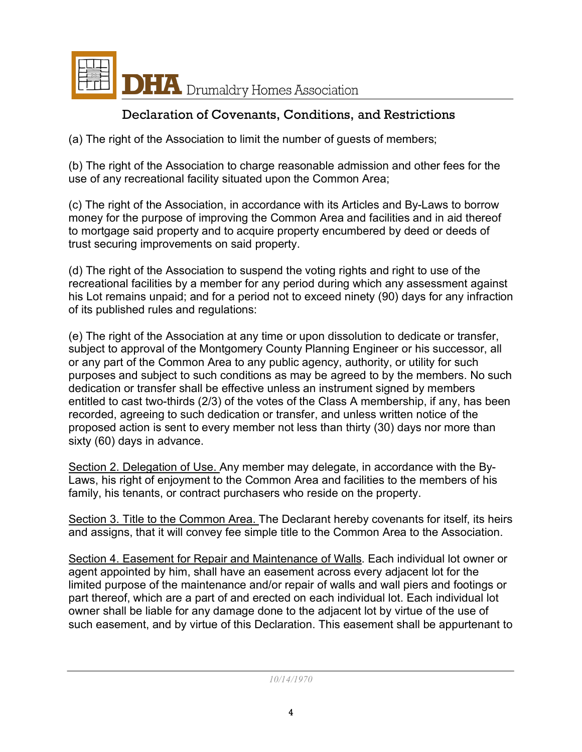

(a) The right of the Association to limit the number of guests of members;

(b) The right of the Association to charge reasonable admission and other fees for the use of any recreational facility situated upon the Common Area;

(c) The right of the Association, in accordance with its Articles and By-Laws to borrow money for the purpose of improving the Common Area and facilities and in aid thereof to mortgage said property and to acquire property encumbered by deed or deeds of trust securing improvements on said property.

(d) The right of the Association to suspend the voting rights and right to use of the recreational facilities by a member for any period during which any assessment against his Lot remains unpaid; and for a period not to exceed ninety (90) days for any infraction of its published rules and regulations:

(e) The right of the Association at any time or upon dissolution to dedicate or transfer, subject to approval of the Montgomery County Planning Engineer or his successor, all or any part of the Common Area to any public agency, authority, or utility for such purposes and subject to such conditions as may be agreed to by the members. No such dedication or transfer shall be effective unless an instrument signed by members entitled to cast two-thirds (2/3) of the votes of the Class A membership, if any, has been recorded, agreeing to such dedication or transfer, and unless written notice of the proposed action is sent to every member not less than thirty (30) days nor more than sixty (60) days in advance.

Section 2. Delegation of Use. Any member may delegate, in accordance with the By-Laws, his right of enjoyment to the Common Area and facilities to the members of his family, his tenants, or contract purchasers who reside on the property.

Section 3. Title to the Common Area. The Declarant hereby covenants for itself, its heirs and assigns, that it will convey fee simple title to the Common Area to the Association.

Section 4. Easement for Repair and Maintenance of Walls. Each individual lot owner or agent appointed by him, shall have an easement across every adjacent lot for the limited purpose of the maintenance and/or repair of walls and wall piers and footings or part thereof, which are a part of and erected on each individual lot. Each individual lot owner shall be liable for any damage done to the adjacent lot by virtue of the use of such easement, and by virtue of this Declaration. This easement shall be appurtenant to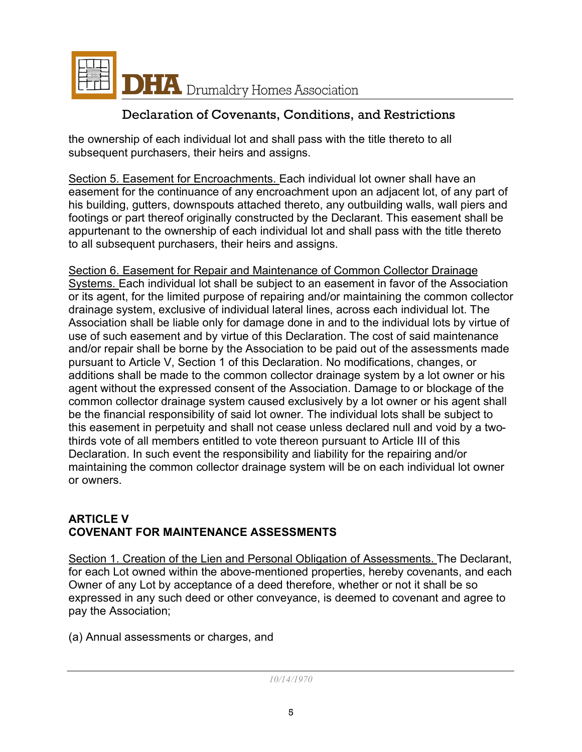

the ownership of each individual lot and shall pass with the title thereto to all subsequent purchasers, their heirs and assigns.

Section 5. Easement for Encroachments. Each individual lot owner shall have an easement for the continuance of any encroachment upon an adjacent lot, of any part of his building, gutters, downspouts attached thereto, any outbuilding walls, wall piers and footings or part thereof originally constructed by the Declarant. This easement shall be appurtenant to the ownership of each individual lot and shall pass with the title thereto to all subsequent purchasers, their heirs and assigns.

Section 6. Easement for Repair and Maintenance of Common Collector Drainage Systems. Each individual lot shall be subject to an easement in favor of the Association or its agent, for the limited purpose of repairing and/or maintaining the common collector drainage system, exclusive of individual lateral lines, across each individual lot. The Association shall be liable only for damage done in and to the individual lots by virtue of use of such easement and by virtue of this Declaration. The cost of said maintenance and/or repair shall be borne by the Association to be paid out of the assessments made pursuant to Article V, Section 1 of this Declaration. No modifications, changes, or additions shall be made to the common collector drainage system by a lot owner or his agent without the expressed consent of the Association. Damage to or blockage of the common collector drainage system caused exclusively by a lot owner or his agent shall be the financial responsibility of said lot owner. The individual lots shall be subject to this easement in perpetuity and shall not cease unless declared null and void by a twothirds vote of all members entitled to vote thereon pursuant to Article III of this Declaration. In such event the responsibility and liability for the repairing and/or maintaining the common collector drainage system will be on each individual lot owner or owners.

#### **ARTICLE V COVENANT FOR MAINTENANCE ASSESSMENTS**

Section 1. Creation of the Lien and Personal Obligation of Assessments. The Declarant, for each Lot owned within the above-mentioned properties, hereby covenants, and each Owner of any Lot by acceptance of a deed therefore, whether or not it shall be so expressed in any such deed or other conveyance, is deemed to covenant and agree to pay the Association;

(a) Annual assessments or charges, and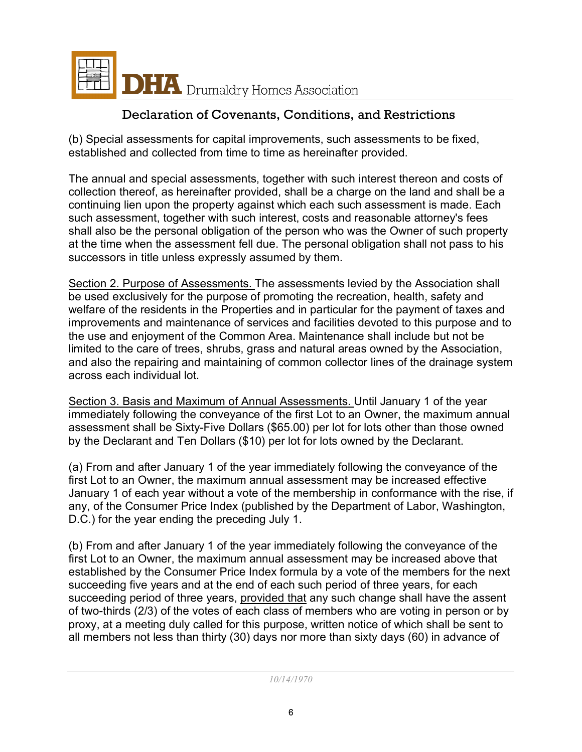

(b) Special assessments for capital improvements, such assessments to be fixed, established and collected from time to time as hereinafter provided.

The annual and special assessments, together with such interest thereon and costs of collection thereof, as hereinafter provided, shall be a charge on the land and shall be a continuing lien upon the property against which each such assessment is made. Each such assessment, together with such interest, costs and reasonable attorney's fees shall also be the personal obligation of the person who was the Owner of such property at the time when the assessment fell due. The personal obligation shall not pass to his successors in title unless expressly assumed by them.

Section 2. Purpose of Assessments. The assessments levied by the Association shall be used exclusively for the purpose of promoting the recreation, health, safety and welfare of the residents in the Properties and in particular for the payment of taxes and improvements and maintenance of services and facilities devoted to this purpose and to the use and enjoyment of the Common Area. Maintenance shall include but not be limited to the care of trees, shrubs, grass and natural areas owned by the Association, and also the repairing and maintaining of common collector lines of the drainage system across each individual lot.

Section 3. Basis and Maximum of Annual Assessments. Until January 1 of the year immediately following the conveyance of the first Lot to an Owner, the maximum annual assessment shall be Sixty-Five Dollars (\$65.00) per lot for lots other than those owned by the Declarant and Ten Dollars (\$10) per lot for lots owned by the Declarant.

(a) From and after January 1 of the year immediately following the conveyance of the first Lot to an Owner, the maximum annual assessment may be increased effective January 1 of each year without a vote of the membership in conformance with the rise, if any, of the Consumer Price Index (published by the Department of Labor, Washington, D.C.) for the year ending the preceding July 1.

(b) From and after January 1 of the year immediately following the conveyance of the first Lot to an Owner, the maximum annual assessment may be increased above that established by the Consumer Price Index formula by a vote of the members for the next succeeding five years and at the end of each such period of three years, for each succeeding period of three years, provided that any such change shall have the assent of two-thirds (2/3) of the votes of each class of members who are voting in person or by proxy, at a meeting duly called for this purpose, written notice of which shall be sent to all members not less than thirty (30) days nor more than sixty days (60) in advance of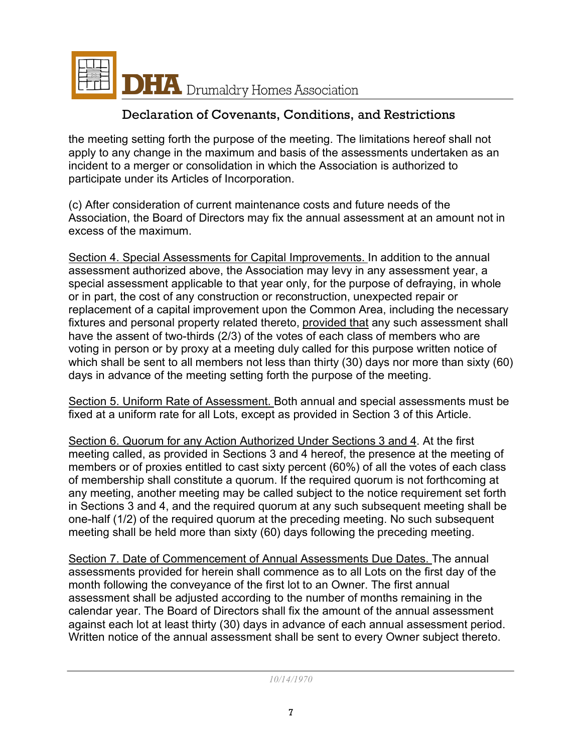

the meeting setting forth the purpose of the meeting. The limitations hereof shall not apply to any change in the maximum and basis of the assessments undertaken as an incident to a merger or consolidation in which the Association is authorized to participate under its Articles of Incorporation.

(c) After consideration of current maintenance costs and future needs of the Association, the Board of Directors may fix the annual assessment at an amount not in excess of the maximum.

Section 4. Special Assessments for Capital Improvements. In addition to the annual assessment authorized above, the Association may levy in any assessment year, a special assessment applicable to that year only, for the purpose of defraying, in whole or in part, the cost of any construction or reconstruction, unexpected repair or replacement of a capital improvement upon the Common Area, including the necessary fixtures and personal property related thereto, provided that any such assessment shall have the assent of two-thirds (2/3) of the votes of each class of members who are voting in person or by proxy at a meeting duly called for this purpose written notice of which shall be sent to all members not less than thirty (30) days nor more than sixty (60) days in advance of the meeting setting forth the purpose of the meeting.

Section 5. Uniform Rate of Assessment. Both annual and special assessments must be fixed at a uniform rate for all Lots, except as provided in Section 3 of this Article.

Section 6. Quorum for any Action Authorized Under Sections 3 and 4. At the first meeting called, as provided in Sections 3 and 4 hereof, the presence at the meeting of members or of proxies entitled to cast sixty percent (60%) of all the votes of each class of membership shall constitute a quorum. If the required quorum is not forthcoming at any meeting, another meeting may be called subject to the notice requirement set forth in Sections 3 and 4, and the required quorum at any such subsequent meeting shall be one-half (1/2) of the required quorum at the preceding meeting. No such subsequent meeting shall be held more than sixty (60) days following the preceding meeting.

Section 7. Date of Commencement of Annual Assessments Due Dates. The annual assessments provided for herein shall commence as to all Lots on the first day of the month following the conveyance of the first lot to an Owner. The first annual assessment shall be adjusted according to the number of months remaining in the calendar year. The Board of Directors shall fix the amount of the annual assessment against each lot at least thirty (30) days in advance of each annual assessment period. Written notice of the annual assessment shall be sent to every Owner subject thereto.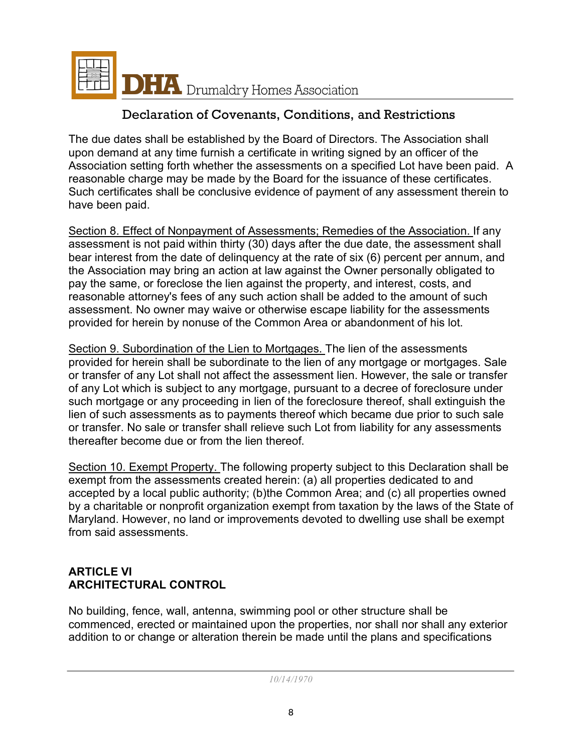

The due dates shall be established by the Board of Directors. The Association shall upon demand at any time furnish a certificate in writing signed by an officer of the Association setting forth whether the assessments on a specified Lot have been paid. A reasonable charge may be made by the Board for the issuance of these certificates. Such certificates shall be conclusive evidence of payment of any assessment therein to have been paid.

Section 8. Effect of Nonpayment of Assessments; Remedies of the Association. If any assessment is not paid within thirty (30) days after the due date, the assessment shall bear interest from the date of delinquency at the rate of six (6) percent per annum, and the Association may bring an action at law against the Owner personally obligated to pay the same, or foreclose the lien against the property, and interest, costs, and reasonable attorney's fees of any such action shall be added to the amount of such assessment. No owner may waive or otherwise escape liability for the assessments provided for herein by nonuse of the Common Area or abandonment of his lot.

Section 9. Subordination of the Lien to Mortgages. The lien of the assessments provided for herein shall be subordinate to the lien of any mortgage or mortgages. Sale or transfer of any Lot shall not affect the assessment lien. However, the sale or transfer of any Lot which is subject to any mortgage, pursuant to a decree of foreclosure under such mortgage or any proceeding in lien of the foreclosure thereof, shall extinguish the lien of such assessments as to payments thereof which became due prior to such sale or transfer. No sale or transfer shall relieve such Lot from liability for any assessments thereafter become due or from the lien thereof.

Section 10. Exempt Property. The following property subject to this Declaration shall be exempt from the assessments created herein: (a) all properties dedicated to and accepted by a local public authority; (b)the Common Area; and (c) all properties owned by a charitable or nonprofit organization exempt from taxation by the laws of the State of Maryland. However, no land or improvements devoted to dwelling use shall be exempt from said assessments.

### **ARTICLE VI ARCHITECTURAL CONTROL**

No building, fence, wall, antenna, swimming pool or other structure shall be commenced, erected or maintained upon the properties, nor shall nor shall any exterior addition to or change or alteration therein be made until the plans and specifications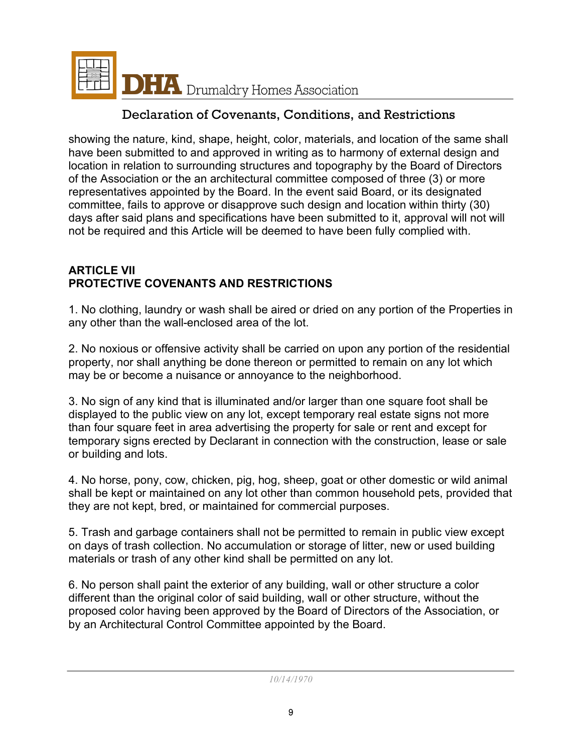

showing the nature, kind, shape, height, color, materials, and location of the same shall have been submitted to and approved in writing as to harmony of external design and location in relation to surrounding structures and topography by the Board of Directors of the Association or the an architectural committee composed of three (3) or more representatives appointed by the Board. In the event said Board, or its designated committee, fails to approve or disapprove such design and location within thirty (30) days after said plans and specifications have been submitted to it, approval will not will not be required and this Article will be deemed to have been fully complied with.

### **ARTICLE VII PROTECTIVE COVENANTS AND RESTRICTIONS**

1. No clothing, laundry or wash shall be aired or dried on any portion of the Properties in any other than the wall-enclosed area of the lot.

2. No noxious or offensive activity shall be carried on upon any portion of the residential property, nor shall anything be done thereon or permitted to remain on any lot which may be or become a nuisance or annoyance to the neighborhood.

3. No sign of any kind that is illuminated and/or larger than one square foot shall be displayed to the public view on any lot, except temporary real estate signs not more than four square feet in area advertising the property for sale or rent and except for temporary signs erected by Declarant in connection with the construction, lease or sale or building and lots.

4. No horse, pony, cow, chicken, pig, hog, sheep, goat or other domestic or wild animal shall be kept or maintained on any lot other than common household pets, provided that they are not kept, bred, or maintained for commercial purposes.

5. Trash and garbage containers shall not be permitted to remain in public view except on days of trash collection. No accumulation or storage of litter, new or used building materials or trash of any other kind shall be permitted on any lot.

6. No person shall paint the exterior of any building, wall or other structure a color different than the original color of said building, wall or other structure, without the proposed color having been approved by the Board of Directors of the Association, or by an Architectural Control Committee appointed by the Board.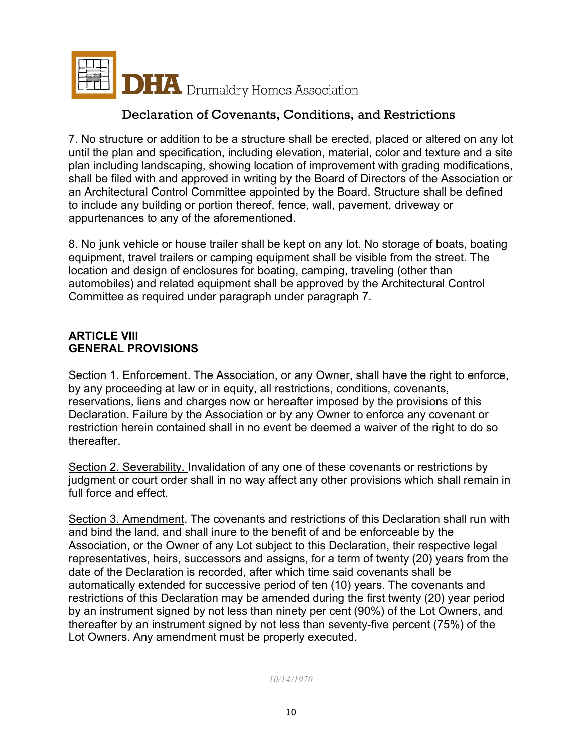

7. No structure or addition to be a structure shall be erected, placed or altered on any lot until the plan and specification, including elevation, material, color and texture and a site plan including landscaping, showing location of improvement with grading modifications, shall be filed with and approved in writing by the Board of Directors of the Association or an Architectural Control Committee appointed by the Board. Structure shall be defined to include any building or portion thereof, fence, wall, pavement, driveway or appurtenances to any of the aforementioned.

8. No junk vehicle or house trailer shall be kept on any lot. No storage of boats, boating equipment, travel trailers or camping equipment shall be visible from the street. The location and design of enclosures for boating, camping, traveling (other than automobiles) and related equipment shall be approved by the Architectural Control Committee as required under paragraph under paragraph 7.

### **ARTICLE VIII GENERAL PROVISIONS**

Section 1. Enforcement. The Association, or any Owner, shall have the right to enforce, by any proceeding at law or in equity, all restrictions, conditions, covenants, reservations, liens and charges now or hereafter imposed by the provisions of this Declaration. Failure by the Association or by any Owner to enforce any covenant or restriction herein contained shall in no event be deemed a waiver of the right to do so thereafter.

Section 2. Severability. Invalidation of any one of these covenants or restrictions by judgment or court order shall in no way affect any other provisions which shall remain in full force and effect.

Section 3. Amendment. The covenants and restrictions of this Declaration shall run with and bind the land, and shall inure to the benefit of and be enforceable by the Association, or the Owner of any Lot subject to this Declaration, their respective legal representatives, heirs, successors and assigns, for a term of twenty (20) years from the date of the Declaration is recorded, after which time said covenants shall be automatically extended for successive period of ten (10) years. The covenants and restrictions of this Declaration may be amended during the first twenty (20) year period by an instrument signed by not less than ninety per cent (90%) of the Lot Owners, and thereafter by an instrument signed by not less than seventy-five percent (75%) of the Lot Owners. Any amendment must be properly executed.